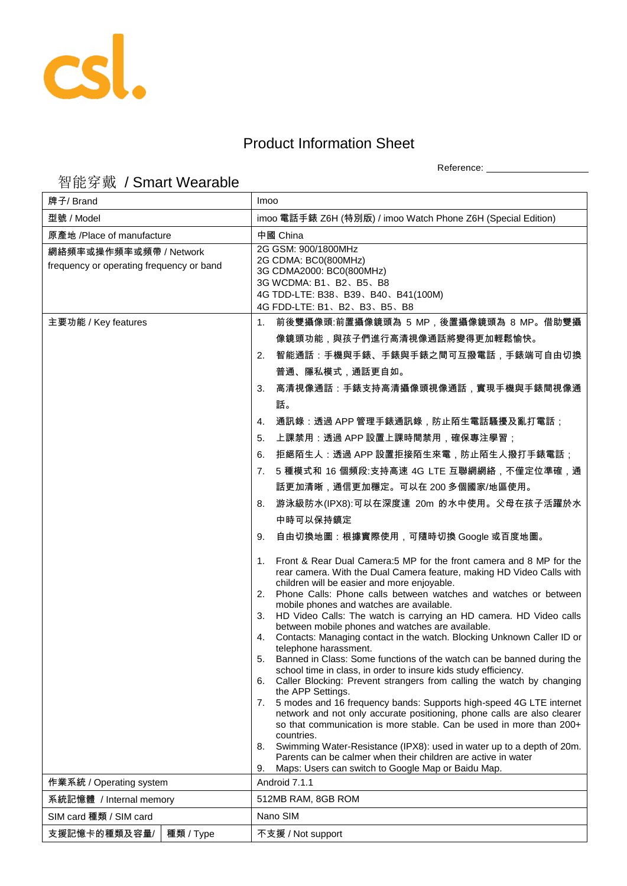

## Product Information Sheet

Reference: \_\_\_\_\_\_\_\_\_\_\_\_\_\_\_\_\_\_\_\_

## 智能穿戴 / Smart Wearable

| 牌子/ Brand                                                          |           | Imoo                                                                                                                                                                                                                                                                                                                                                                                                                                                                                                                                                                                                                                                                                                                                                                                                                                                                                                                                                                                                                                                                                                                                                                                                                                                                        |
|--------------------------------------------------------------------|-----------|-----------------------------------------------------------------------------------------------------------------------------------------------------------------------------------------------------------------------------------------------------------------------------------------------------------------------------------------------------------------------------------------------------------------------------------------------------------------------------------------------------------------------------------------------------------------------------------------------------------------------------------------------------------------------------------------------------------------------------------------------------------------------------------------------------------------------------------------------------------------------------------------------------------------------------------------------------------------------------------------------------------------------------------------------------------------------------------------------------------------------------------------------------------------------------------------------------------------------------------------------------------------------------|
| 型號 / Model                                                         |           | imoo 電話手錶 Z6H (特別版) / imoo Watch Phone Z6H (Special Edition)                                                                                                                                                                                                                                                                                                                                                                                                                                                                                                                                                                                                                                                                                                                                                                                                                                                                                                                                                                                                                                                                                                                                                                                                                |
| 原產地 /Place of manufacture                                          |           | 中國 China                                                                                                                                                                                                                                                                                                                                                                                                                                                                                                                                                                                                                                                                                                                                                                                                                                                                                                                                                                                                                                                                                                                                                                                                                                                                    |
| 網絡頻率或操作頻率或頻帶 / Network<br>frequency or operating frequency or band |           | 2G GSM: 900/1800MHz<br>2G CDMA: BC0(800MHz)<br>3G CDMA2000: BC0(800MHz)<br>3G WCDMA: B1、B2、B5、B8<br>4G TDD-LTE: B38、B39、B40、B41(100M)<br>4G FDD-LTE: B1, B2, B3, B5, B8                                                                                                                                                                                                                                                                                                                                                                                                                                                                                                                                                                                                                                                                                                                                                                                                                                                                                                                                                                                                                                                                                                     |
| 主要功能 / Key features                                                |           | 前後雙攝像頭:前置攝像鏡頭為 5 MP,後置攝像鏡頭為 8 MP。借助雙攝<br>1.                                                                                                                                                                                                                                                                                                                                                                                                                                                                                                                                                                                                                                                                                                                                                                                                                                                                                                                                                                                                                                                                                                                                                                                                                                 |
|                                                                    |           | 像鏡頭功能,與孩子們進行高清視像通話將變得更加輕鬆愉快。                                                                                                                                                                                                                                                                                                                                                                                                                                                                                                                                                                                                                                                                                                                                                                                                                                                                                                                                                                                                                                                                                                                                                                                                                                                |
|                                                                    |           | 智能通話:手機與手錶、手錶與手錶之間可互撥電話,手錶端可自由切換<br>2.                                                                                                                                                                                                                                                                                                                                                                                                                                                                                                                                                                                                                                                                                                                                                                                                                                                                                                                                                                                                                                                                                                                                                                                                                                      |
|                                                                    |           | 普通、隱私模式,通話更自如。                                                                                                                                                                                                                                                                                                                                                                                                                                                                                                                                                                                                                                                                                                                                                                                                                                                                                                                                                                                                                                                                                                                                                                                                                                                              |
|                                                                    |           | 高清視像通話:手錶支持高清攝像頭視像通話,實現手機與手錶間視像通<br>3.                                                                                                                                                                                                                                                                                                                                                                                                                                                                                                                                                                                                                                                                                                                                                                                                                                                                                                                                                                                                                                                                                                                                                                                                                                      |
|                                                                    |           | 話。                                                                                                                                                                                                                                                                                                                                                                                                                                                                                                                                                                                                                                                                                                                                                                                                                                                                                                                                                                                                                                                                                                                                                                                                                                                                          |
|                                                                    |           | 通訊錄:透過 APP 管理手錶通訊錄,防止陌生電話騷擾及亂打電話;<br>4.                                                                                                                                                                                                                                                                                                                                                                                                                                                                                                                                                                                                                                                                                                                                                                                                                                                                                                                                                                                                                                                                                                                                                                                                                                     |
|                                                                    |           | 上課禁用:透過 APP 設置上課時間禁用,確保專注學習;<br>5.                                                                                                                                                                                                                                                                                                                                                                                                                                                                                                                                                                                                                                                                                                                                                                                                                                                                                                                                                                                                                                                                                                                                                                                                                                          |
|                                                                    |           | 拒絕陌生人:透過 APP 設置拒接陌生來電,防止陌生人撥打手錶電話;<br>6.                                                                                                                                                                                                                                                                                                                                                                                                                                                                                                                                                                                                                                                                                                                                                                                                                                                                                                                                                                                                                                                                                                                                                                                                                                    |
|                                                                    |           | 5 種模式和 16 個頻段:支持高速 4G LTE 互聯網網絡,不僅定位準確,通<br>7.                                                                                                                                                                                                                                                                                                                                                                                                                                                                                                                                                                                                                                                                                                                                                                                                                                                                                                                                                                                                                                                                                                                                                                                                                              |
|                                                                    |           | 話更加清晰,通信更加穩定。可以在 200 多個國家/地區使用。                                                                                                                                                                                                                                                                                                                                                                                                                                                                                                                                                                                                                                                                                                                                                                                                                                                                                                                                                                                                                                                                                                                                                                                                                                             |
|                                                                    |           | 游泳級防水(IPX8):可以在深度達 20m 的水中使用。父母在孩子活躍於水<br>8.                                                                                                                                                                                                                                                                                                                                                                                                                                                                                                                                                                                                                                                                                                                                                                                                                                                                                                                                                                                                                                                                                                                                                                                                                                |
|                                                                    |           | 中時可以保持鎮定                                                                                                                                                                                                                                                                                                                                                                                                                                                                                                                                                                                                                                                                                                                                                                                                                                                                                                                                                                                                                                                                                                                                                                                                                                                                    |
|                                                                    |           | 自由切換地圖:根據實際使用,可隨時切換 Google 或百度地圖。<br>9.                                                                                                                                                                                                                                                                                                                                                                                                                                                                                                                                                                                                                                                                                                                                                                                                                                                                                                                                                                                                                                                                                                                                                                                                                                     |
|                                                                    |           | Front & Rear Dual Camera:5 MP for the front camera and 8 MP for the<br>1.<br>rear camera. With the Dual Camera feature, making HD Video Calls with<br>children will be easier and more enjoyable.<br>2. Phone Calls: Phone calls between watches and watches or between<br>mobile phones and watches are available.<br>HD Video Calls: The watch is carrying an HD camera. HD Video calls<br>3.<br>between mobile phones and watches are available.<br>Contacts: Managing contact in the watch. Blocking Unknown Caller ID or<br>4.<br>telephone harassment.<br>Banned in Class: Some functions of the watch can be banned during the<br>5.<br>school time in class, in order to insure kids study efficiency.<br>Caller Blocking: Prevent strangers from calling the watch by changing<br>6.<br>the APP Settings.<br>5 modes and 16 frequency bands: Supports high-speed 4G LTE internet<br>7.<br>network and not only accurate positioning, phone calls are also clearer<br>so that communication is more stable. Can be used in more than 200+<br>countries.<br>Swimming Water-Resistance (IPX8): used in water up to a depth of 20m.<br>8.<br>Parents can be calmer when their children are active in water<br>Maps: Users can switch to Google Map or Baidu Map.<br>9. |
| 作業系統 / Operating system                                            |           | Android 7.1.1                                                                                                                                                                                                                                                                                                                                                                                                                                                                                                                                                                                                                                                                                                                                                                                                                                                                                                                                                                                                                                                                                                                                                                                                                                                               |
| 系統記憶體 / Internal memory                                            |           | 512MB RAM, 8GB ROM                                                                                                                                                                                                                                                                                                                                                                                                                                                                                                                                                                                                                                                                                                                                                                                                                                                                                                                                                                                                                                                                                                                                                                                                                                                          |
| SIM card 種類 / SIM card                                             |           | Nano SIM                                                                                                                                                                                                                                                                                                                                                                                                                                                                                                                                                                                                                                                                                                                                                                                                                                                                                                                                                                                                                                                                                                                                                                                                                                                                    |
| 支援記憶卡的種類及容量/                                                       | 種類 / Type | 不支援 / Not support                                                                                                                                                                                                                                                                                                                                                                                                                                                                                                                                                                                                                                                                                                                                                                                                                                                                                                                                                                                                                                                                                                                                                                                                                                                           |